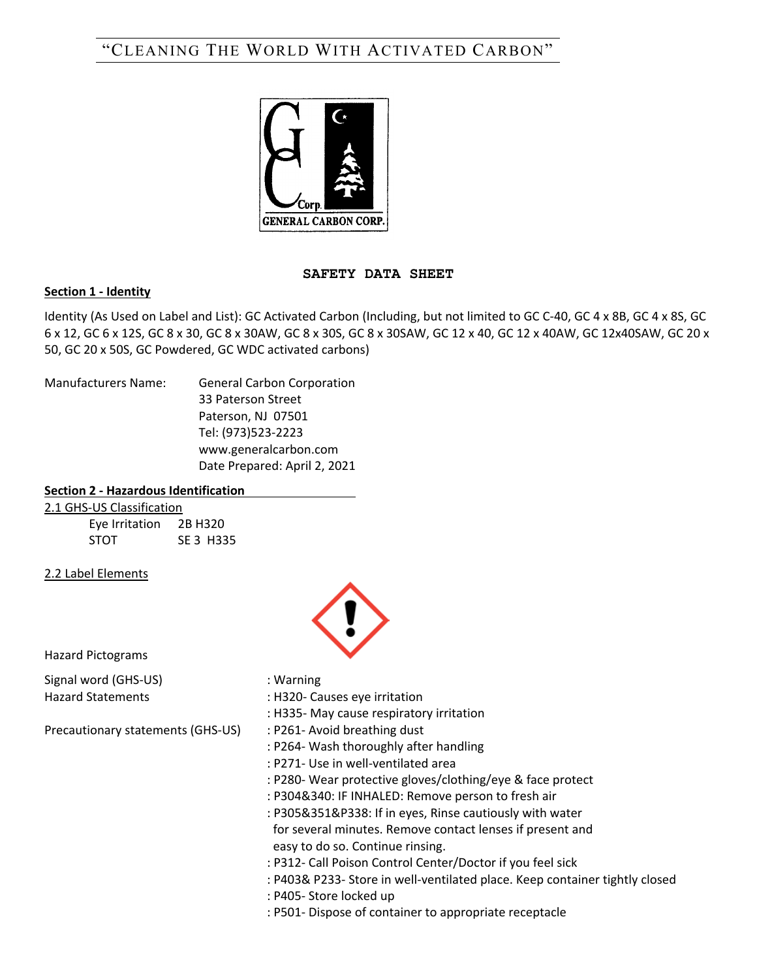# "CLEANING THE WORLD WITH ACTIVATED CARBON"



## **SAFETY DATA SHEET**

## **Section 1 - Identity**

Identity (As Used on Label and List): GC Activated Carbon (Including, but not limited to GC C-40, GC 4 x 8B, GC 4 x 8S, GC 6 x 12, GC 6 x 12S, GC 8 x 30, GC 8 x 30AW, GC 8 x 30S, GC 8 x 30SAW, GC 12 x 40, GC 12 x 40AW, GC 12x40SAW, GC 20 x 50, GC 20 x 50S, GC Powdered, GC WDC activated carbons)

Manufacturers Name: General Carbon Corporation

33 Paterson Street Paterson, NJ 07501 Tel: (973)523-2223 www.generalcarbon.com Date Prepared: April 2, 2021

## **Section 2 - Hazardous Identification**

|  | 2.1 GHS-US Classification |  |
|--|---------------------------|--|
|  |                           |  |

Eye Irritation 2B H320 STOT SE 3 H335

2.2 Label Elements

Hazard Pictograms

Signal word (GHS-US) : Warning

Precautionary statements (GHS-US) : P261- Avoid breathing dust

- 
- 
- Hazard Statements : H320- Causes eye irritation
	- : H335- May cause respiratory irritation
	-
	- : P264- Wash thoroughly after handling
	- : P271- Use in well-ventilated area
	- : P280- Wear protective gloves/clothing/eye & face protect
	- : P304&340: IF INHALED: Remove person to fresh air
	- : P305&351&P338: If in eyes, Rinse cautiously with water

 for several minutes. Remove contact lenses if present and easy to do so. Continue rinsing.

- : P312- Call Poison Control Center/Doctor if you feel sick
- : P403& P233- Store in well-ventilated place. Keep container tightly closed
- : P405- Store locked up

: P501- Dispose of container to appropriate receptacle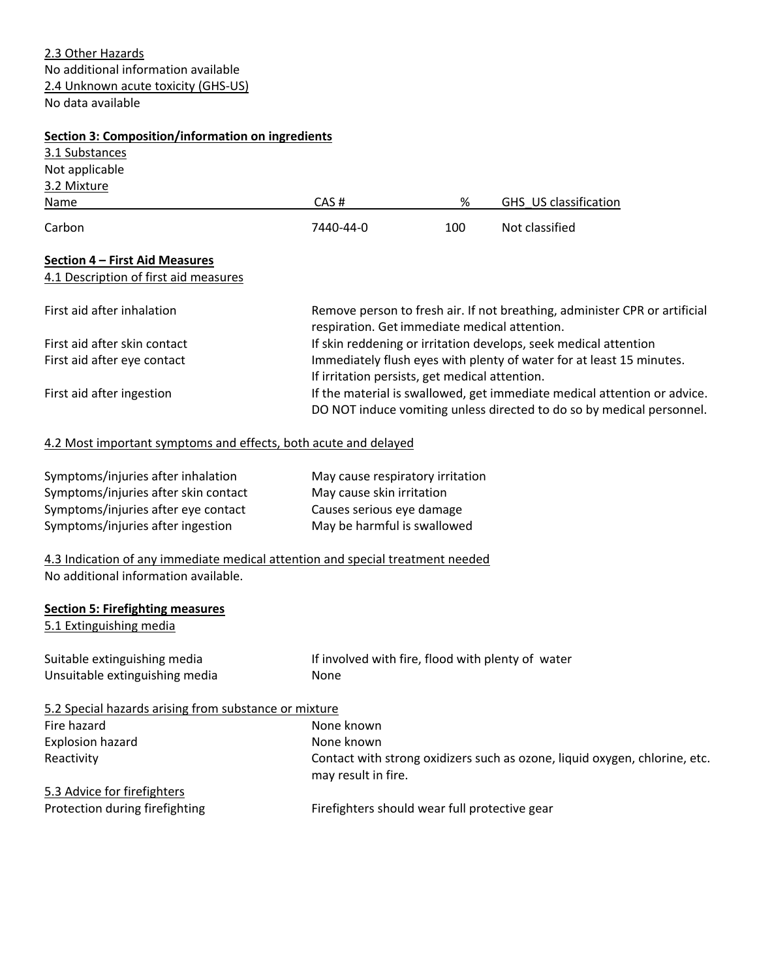2.3 Other Hazards No additional information available 2.4 Unknown acute toxicity (GHS-US) No data available

| Section 3: Composition/information on ingredients                                                                      |                                                                                                                                                   |     |                                                                            |  |
|------------------------------------------------------------------------------------------------------------------------|---------------------------------------------------------------------------------------------------------------------------------------------------|-----|----------------------------------------------------------------------------|--|
| 3.1 Substances                                                                                                         |                                                                                                                                                   |     |                                                                            |  |
| Not applicable                                                                                                         |                                                                                                                                                   |     |                                                                            |  |
| 3.2 Mixture                                                                                                            |                                                                                                                                                   |     |                                                                            |  |
| Name                                                                                                                   | CAS#                                                                                                                                              | %   | GHS US classification                                                      |  |
| Carbon                                                                                                                 | 7440-44-0                                                                                                                                         | 100 | Not classified                                                             |  |
| Section 4 - First Aid Measures<br>4.1 Description of first aid measures                                                |                                                                                                                                                   |     |                                                                            |  |
| First aid after inhalation                                                                                             | Remove person to fresh air. If not breathing, administer CPR or artificial<br>respiration. Get immediate medical attention.                       |     |                                                                            |  |
| First aid after skin contact                                                                                           |                                                                                                                                                   |     | If skin reddening or irritation develops, seek medical attention           |  |
| First aid after eye contact                                                                                            |                                                                                                                                                   |     | Immediately flush eyes with plenty of water for at least 15 minutes.       |  |
|                                                                                                                        | If irritation persists, get medical attention.                                                                                                    |     |                                                                            |  |
| First aid after ingestion                                                                                              | If the material is swallowed, get immediate medical attention or advice.<br>DO NOT induce vomiting unless directed to do so by medical personnel. |     |                                                                            |  |
| 4.2 Most important symptoms and effects, both acute and delayed                                                        |                                                                                                                                                   |     |                                                                            |  |
| Symptoms/injuries after inhalation                                                                                     | May cause respiratory irritation                                                                                                                  |     |                                                                            |  |
| Symptoms/injuries after skin contact                                                                                   | May cause skin irritation                                                                                                                         |     |                                                                            |  |
| Symptoms/injuries after eye contact                                                                                    | Causes serious eye damage                                                                                                                         |     |                                                                            |  |
| Symptoms/injuries after ingestion                                                                                      | May be harmful is swallowed                                                                                                                       |     |                                                                            |  |
| 4.3 Indication of any immediate medical attention and special treatment needed<br>No additional information available. |                                                                                                                                                   |     |                                                                            |  |
| <b>Section 5: Firefighting measures</b><br>5.1 Extinguishing media                                                     |                                                                                                                                                   |     |                                                                            |  |
| Suitable extinguishing media                                                                                           | If involved with fire, flood with plenty of water                                                                                                 |     |                                                                            |  |
| Unsuitable extinguishing media                                                                                         | None                                                                                                                                              |     |                                                                            |  |
| 5.2 Special hazards arising from substance or mixture                                                                  |                                                                                                                                                   |     |                                                                            |  |
| Fire hazard                                                                                                            | None known                                                                                                                                        |     |                                                                            |  |
| <b>Explosion hazard</b>                                                                                                | None known                                                                                                                                        |     |                                                                            |  |
| Reactivity                                                                                                             | may result in fire.                                                                                                                               |     | Contact with strong oxidizers such as ozone, liquid oxygen, chlorine, etc. |  |
| 5.3 Advice for firefighters                                                                                            |                                                                                                                                                   |     |                                                                            |  |
| Protection during firefighting                                                                                         | Firefighters should wear full protective gear                                                                                                     |     |                                                                            |  |
|                                                                                                                        |                                                                                                                                                   |     |                                                                            |  |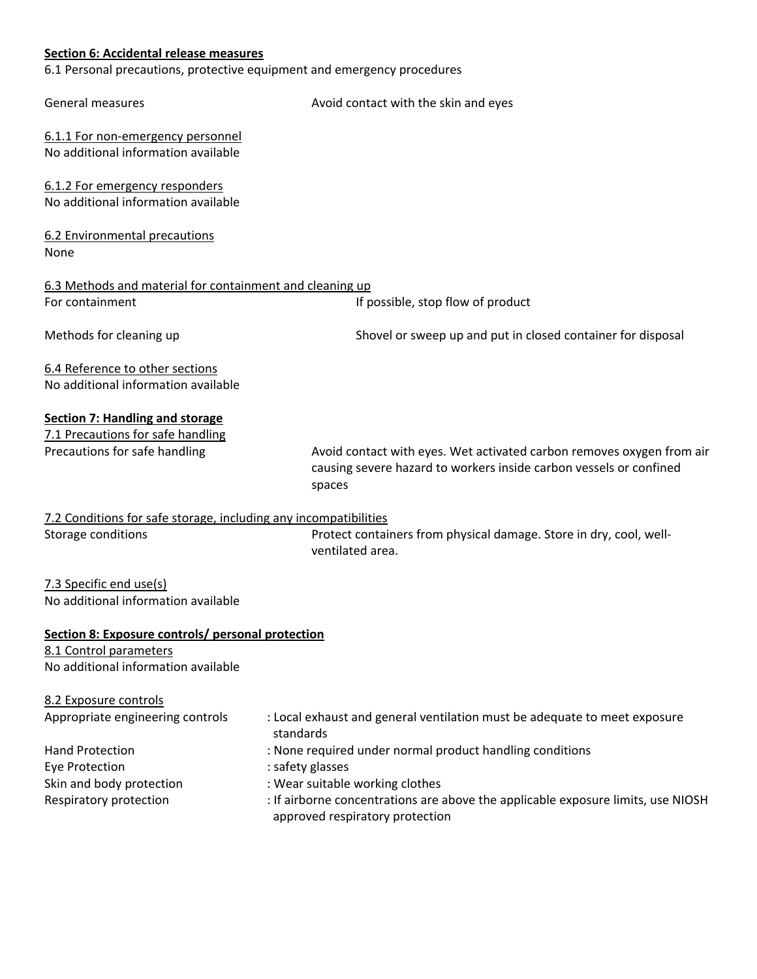## **Section 6: Accidental release measures**

6.1 Personal precautions, protective equipment and emergency procedures

| Avoid contact with the skin and eyes                                                                                                                       |  |  |  |
|------------------------------------------------------------------------------------------------------------------------------------------------------------|--|--|--|
|                                                                                                                                                            |  |  |  |
|                                                                                                                                                            |  |  |  |
|                                                                                                                                                            |  |  |  |
| 6.3 Methods and material for containment and cleaning up                                                                                                   |  |  |  |
| If possible, stop flow of product                                                                                                                          |  |  |  |
| Shovel or sweep up and put in closed container for disposal                                                                                                |  |  |  |
|                                                                                                                                                            |  |  |  |
| Avoid contact with eyes. Wet activated carbon removes oxygen from air                                                                                      |  |  |  |
| causing severe hazard to workers inside carbon vessels or confined<br>spaces                                                                               |  |  |  |
| 7.2 Conditions for safe storage, including any incompatibilities<br>Protect containers from physical damage. Store in dry, cool, well-<br>ventilated area. |  |  |  |
|                                                                                                                                                            |  |  |  |
| Section 8: Exposure controls/ personal protection<br>8.1 Control parameters<br>No additional information available                                         |  |  |  |
| : Local exhaust and general ventilation must be adequate to meet exposure<br>standards                                                                     |  |  |  |
| : None required under normal product handling conditions                                                                                                   |  |  |  |
| : safety glasses                                                                                                                                           |  |  |  |
| : Wear suitable working clothes                                                                                                                            |  |  |  |
| : If airborne concentrations are above the applicable exposure limits, use NIOSH<br>approved respiratory protection                                        |  |  |  |
|                                                                                                                                                            |  |  |  |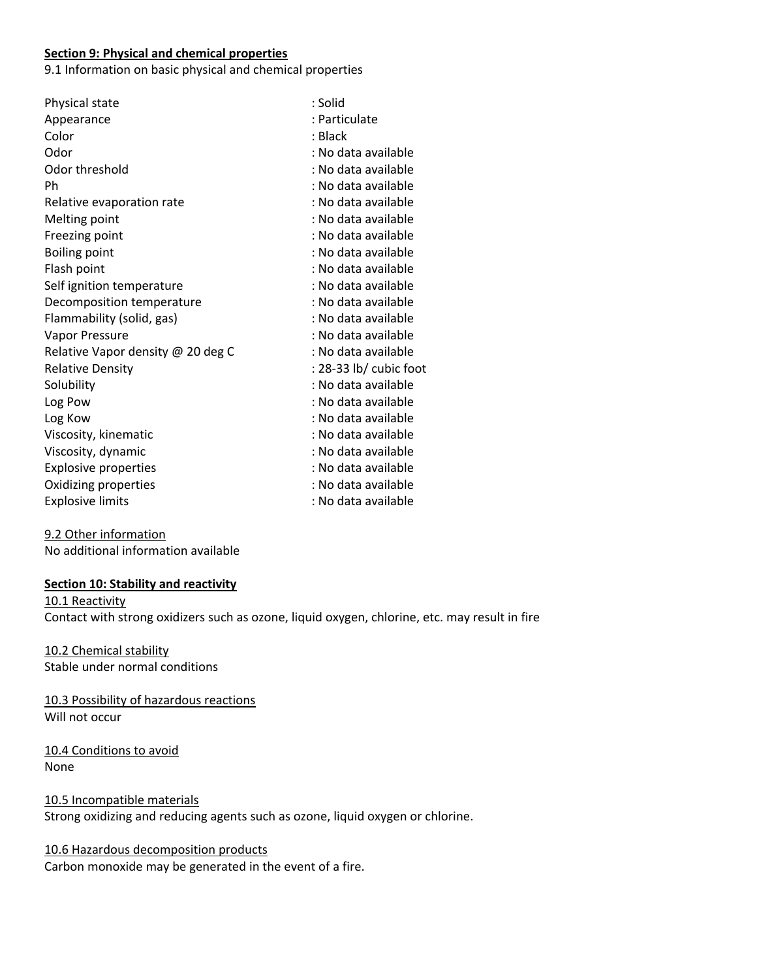#### **Section 9: Physical and chemical properties**

9.1 Information on basic physical and chemical properties

| Physical state                    | : Solid                |
|-----------------------------------|------------------------|
| Appearance                        | : Particulate          |
| Color                             | : Black                |
| Odor                              | : No data available    |
| Odor threshold                    | : No data available    |
| Ph                                | : No data available    |
| Relative evaporation rate         | : No data available    |
| Melting point                     | : No data available    |
| Freezing point                    | : No data available    |
| <b>Boiling point</b>              | : No data available    |
| Flash point                       | : No data available    |
| Self ignition temperature         | : No data available    |
| Decomposition temperature         | : No data available    |
| Flammability (solid, gas)         | : No data available    |
| Vapor Pressure                    | : No data available    |
| Relative Vapor density @ 20 deg C | : No data available    |
| <b>Relative Density</b>           | : 28-33 lb/ cubic foot |
| Solubility                        | : No data available    |
| Log Pow                           | : No data available    |
| Log Kow                           | : No data available    |
| Viscosity, kinematic              | : No data available    |
| Viscosity, dynamic                | : No data available    |
| <b>Explosive properties</b>       | : No data available    |
| Oxidizing properties              | : No data available    |
| <b>Explosive limits</b>           | : No data available    |

9.2 Other information No additional information available

#### **Section 10: Stability and reactivity**

10.1 Reactivity Contact with strong oxidizers such as ozone, liquid oxygen, chlorine, etc. may result in fire

10.2 Chemical stability Stable under normal conditions

10.3 Possibility of hazardous reactions Will not occur

10.4 Conditions to avoid None

10.5 Incompatible materials Strong oxidizing and reducing agents such as ozone, liquid oxygen or chlorine.

## 10.6 Hazardous decomposition products

Carbon monoxide may be generated in the event of a fire.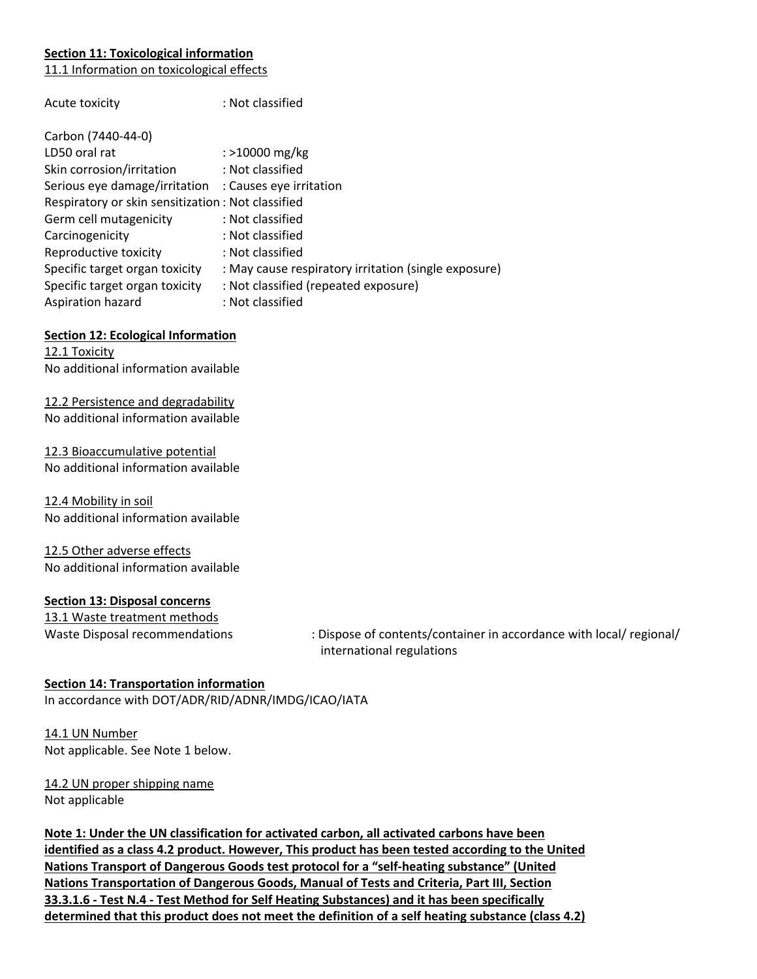## **Section 11: Toxicological information**

11.1 Information on toxicological effects

| Acute toxicity                                        | : Not classified                                     |
|-------------------------------------------------------|------------------------------------------------------|
| Carbon (7440-44-0)                                    |                                                      |
| LD50 oral rat                                         | : >10000 mg/kg                                       |
| Skin corrosion/irritation                             | : Not classified                                     |
| Serious eye damage/irritation : Causes eye irritation |                                                      |
| Respiratory or skin sensitization : Not classified    |                                                      |
| Germ cell mutagenicity                                | : Not classified                                     |
| Carcinogenicity                                       | : Not classified                                     |
| Reproductive toxicity                                 | : Not classified                                     |
| Specific target organ toxicity                        | : May cause respiratory irritation (single exposure) |
| Specific target organ toxicity                        | : Not classified (repeated exposure)                 |
| Aspiration hazard                                     | : Not classified                                     |

#### **Section 12: Ecological Information**

12.1 Toxicity No additional information available

12.2 Persistence and degradability No additional information available

12.3 Bioaccumulative potential No additional information available

12.4 Mobility in soil No additional information available

12.5 Other adverse effects No additional information available

#### **Section 13: Disposal concerns**

13.1 Waste treatment methods

Waste Disposal recommendations : Dispose of contents/container in accordance with local/ regional/ international regulations

## **Section 14: Transportation information**

In accordance with DOT/ADR/RID/ADNR/IMDG/ICAO/IATA

14.1 UN Number Not applicable. See Note 1 below.

14.2 UN proper shipping name Not applicable

**Note 1: Under the UN classification for activated carbon, all activated carbons have been identified as a class 4.2 product. However, This product has been tested according to the United Nations Transport of Dangerous Goods test protocol for a "self-heating substance" (United Nations Transportation of Dangerous Goods, Manual of Tests and Criteria, Part III, Section 33.3.1.6 - Test N.4 - Test Method for Self Heating Substances) and it has been specifically determined that this product does not meet the definition of a self heating substance (class 4.2)**